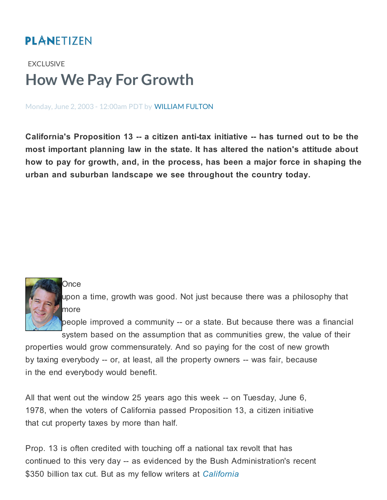## **PLANETIZEN**

## [EXCLUSIVE](http://www.planetizen.com/exclusive) How We Pay For Growth

Monday, June 2, 2003 - 12:00am PDT by [WILLIAM](http://www.planetizen.com/taxonomy/term/3092) FULTON

California's Proposition 13 -- a citizen anti-tax initiative -- has turned out to be the most important planning law in the state. It has altered the nation's attitude about how to pay for growth, and, in the process, has been a major force in shaping the urban and suburban landscape we see throughout the country today.

## Once

upon a time, growth was good. Not just because there was a philosophy that more

people improved a community -- or a state. But because there was a financial

system based on the assumption that as communities grew, the value of their properties would grow commensurately. And so paying for the cost of new growth by taxing everybody -- or, at least, all the property owners -- was fair, because in the end everybody would benefit.

All that went out the window 25 years ago this week -- on Tuesday, June 6, 1978, when the voters of California passed Proposition 13, a citizen initiative that cut property taxes by more than half.

Prop. 13 is often credited with touching off a national tax revolt that has continued to this very day -- as evidenced by the Bush Administration's recent \$350 billion tax cut. But as my fellow writers at [California](http://www.cp-dr.com/)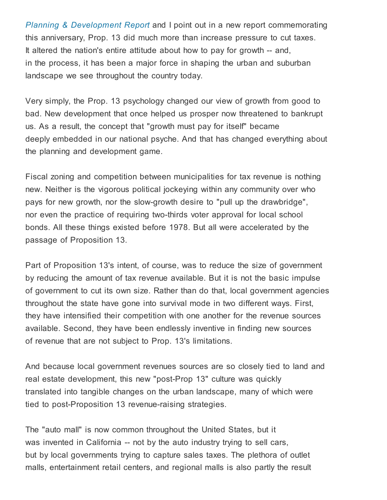Planning & [Development](http://www.cp-dr.com/) Report and I point out in a new report commemorating this anniversary, Prop. 13 did much more than increase pressure to cut taxes. It altered the nation's entire attitude about how to pay for growth -- and, in the process, it has been a major force in shaping the urban and suburban landscape we see throughout the country today.

Very simply, the Prop. 13 psychology changed our view of growth from good to bad. New development that once helped us prosper now threatened to bankrupt us. As a result, the concept that "growth must pay for itself" became deeply embedded in our national psyche. And that has changed everything about the planning and development game.

Fiscal zoning and competition between municipalities for tax revenue is nothing new. Neither is the vigorous political jockeying within any community over who pays for new growth, nor the slow-growth desire to "pull up the drawbridge", nor even the practice of requiring two-thirds voter approval for local school bonds. All these things existed before 1978. But all were accelerated by the passage of Proposition 13.

Part of Proposition 13's intent, of course, was to reduce the size of government by reducing the amount of tax revenue available. But it is not the basic impulse of government to cut its own size. Rather than do that, local government agencies throughout the state have gone into survival mode in two different ways. First, they have intensified their competition with one another for the revenue sources available. Second, they have been endlessly inventive in finding new sources of revenue that are not subject to Prop. 13's limitations.

And because local government revenues sources are so closely tied to land and real estate development, this new "post-Prop 13" culture was quickly translated into tangible changes on the urban landscape, many of which were tied to post-Proposition 13 revenue-raising strategies.

The "auto mall" is now common throughout the United States, but it was invented in California -- not by the auto industry trying to sell cars, but by local governments trying to capture sales taxes. The plethora of outlet malls, entertainment retail centers, and regional malls is also partly the result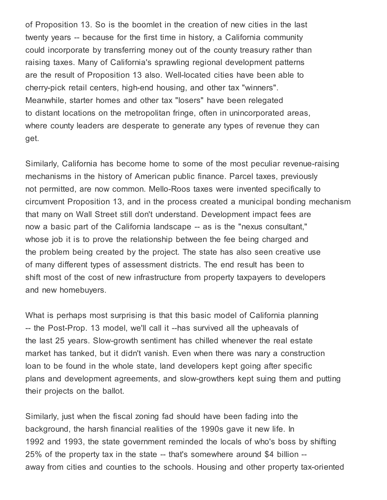of Proposition 13. So is the boomlet in the creation of new cities in the last twenty years -- because for the first time in history, a California community could incorporate by transferring money out of the county treasury rather than raising taxes. Many of California's sprawling regional development patterns are the result of Proposition 13 also. Well-located cities have been able to cherry-pick retail centers, high-end housing, and other tax "winners". Meanwhile, starter homes and other tax "losers" have been relegated to distant locations on the metropolitan fringe, often in unincorporated areas, where county leaders are desperate to generate any types of revenue they can get.

Similarly, California has become home to some of the most peculiar revenue-raising mechanisms in the history of American public finance. Parcel taxes, previously not permitted, are now common. Mello-Roos taxes were invented specifically to circumvent Proposition 13, and in the process created a municipal bonding mechanism that many on Wall Street still don't understand. Development impact fees are now a basic part of the California landscape -- as is the "nexus consultant," whose job it is to prove the relationship between the fee being charged and the problem being created by the project. The state has also seen creative use of many different types of assessment districts. The end result has been to shift most of the cost of new infrastructure from property taxpayers to developers and new homebuyers.

What is perhaps most surprising is that this basic model of California planning -- the Post-Prop. 13 model, we'll call it --has survived all the upheavals of the last 25 years. Slow-growth sentiment has chilled whenever the real estate market has tanked, but it didn't vanish. Even when there was nary a construction loan to be found in the whole state, land developers kept going after specific plans and development agreements, and slow-growthers kept suing them and putting their projects on the ballot.

Similarly, just when the fiscal zoning fad should have been fading into the background, the harsh financial realities of the 1990s gave it new life. In 1992 and 1993, the state government reminded the locals of who's boss by shifting 25% of the property tax in the state -- that's somewhere around \$4 billion - away from cities and counties to the schools. Housing and other property tax-oriented